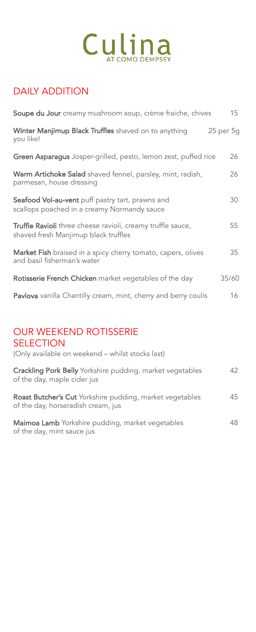## DAILY ADDITION

| Soupe du Jour creamy mushroom soup, crème fraiche, chives                                           | 15        |
|-----------------------------------------------------------------------------------------------------|-----------|
| Winter Manjimup Black Truffles shaved on to anything<br>you like!                                   | 25 per 5g |
| Green Asparagus Josper-grilled, pesto, lemon zest, puffed rice                                      | 26        |
| Warm Artichoke Salad shaved fennel, parsley, mint, radish,<br>parmesan, house dressing              | 26        |
| Seafood Vol-au-vent puff pastry tart, prawns and<br>scallops poached in a creamy Normandy sauce     | 30        |
| Truffle Ravioli three cheese ravioli, creamy truffle sauce,<br>shaved fresh Manjimup black truffles | 55        |
| <b>Market Fish</b> braised in a spicy cherry tomato, capers, olives<br>and basil fisherman's water  | 35        |
| Rotisserie French Chicken market vegetables of the day                                              | 35/60     |
| Pavlova vanilla Chantilly cream, mint, cherry and berry coulis                                      | 16        |
|                                                                                                     |           |

# OUR WEEKEND ROTISSERIE

**SELECTION** 

(Only available on weekend – whilst stocks last)

| <b>Crackling Pork Belly</b> Yorkshire pudding, market vegetables<br>of the day, maple cider jus       | 42 |
|-------------------------------------------------------------------------------------------------------|----|
| <b>Roast Butcher's Cut</b> Yorkshire pudding, market vegetables<br>of the day, horseradish cream, jus | 45 |
| Maimoa Lamb Yorkshire pudding, market vegetables<br>of the day, mint sauce jus                        | 48 |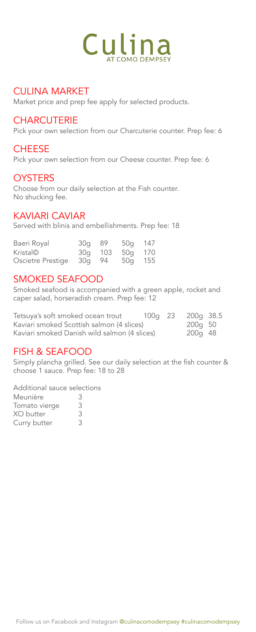#### CULINA MARKET

Market price and prep fee apply for selected products.

#### **CHARCUTERIE**

Pick your own selection from our Charcuterie counter. Prep fee: 6

#### **CHEESE**

Pick your own selection from our Cheese counter. Prep fee: 6

#### **OYSTERS**

Choose from our daily selection at the Fish counter. No shucking fee.

#### KAVIARI CAVIAR

Served with blinis and embellishments. Prep fee: 18

| Baeri Royal       | 30g 89 |         | 50g 147 |  |
|-------------------|--------|---------|---------|--|
| Kristal©          |        | 30g 103 | 50g 170 |  |
| Oscietre Prestige | 30g 94 |         | 50g 155 |  |

#### SMOKED SEAFOOD

Smoked seafood is accompanied with a green apple, rocket and caper salad, horseradish cream. Prep fee: 12

| Tetsuya's soft smoked ocean trout            | 100g 23 | 200g 38.5 |  |
|----------------------------------------------|---------|-----------|--|
| Kaviari smoked Scottish salmon (4 slices)    |         | 200g 50   |  |
| Kaviari smoked Danish wild salmon (4 slices) |         | 200g 48   |  |

#### FISH & SEAFOOD

Simply plancha grilled. See our daily selection at the fish counter & choose 1 sauce. Prep fee: 18 to 28

Additional sauce selections

| Meunière      | 3 |  |
|---------------|---|--|
| Tomato vierge | З |  |
| XO butter     | З |  |
| Curry butter  | З |  |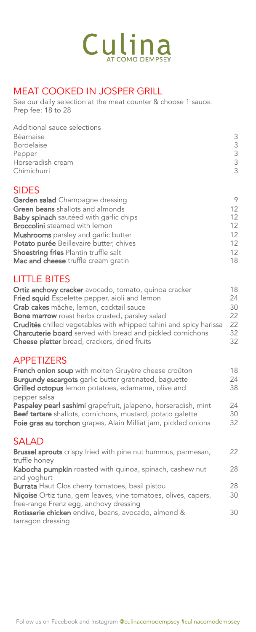

### MEAT COOKED IN JOSPER GRILL

See our daily selection at the meat counter & choose 1 sauce. Prep fee: 18 to 28

| Additional sauce selections<br>Béarnaise<br><b>Bordelaise</b><br>Pepper<br>Horseradish cream<br>Chimichurri | 3<br>3<br>3<br>3<br>3 |
|-------------------------------------------------------------------------------------------------------------|-----------------------|
| <b>SIDES</b>                                                                                                |                       |
| Garden salad Champagne dressing                                                                             | 9                     |
| <b>Green beans</b> shallots and almonds                                                                     | 12 <sup>2</sup>       |
| <b>Baby spinach</b> sautéed with garlic chips                                                               | 12                    |
| <b>Broccolini</b> steamed with lemon                                                                        | 12                    |
| <b>Mushrooms</b> parsley and garlic butter                                                                  | 12                    |
| Potato purée Beillevaire butter, chives                                                                     | 12.                   |
| <b>Shoestring fries Plantin truffle salt</b>                                                                | 12                    |
| Mac and cheese truffle cream gratin                                                                         | 18                    |

### LITTLE BITES

| Ortiz anchovy cracker avocado, tomato, quinoa cracker             | 18 |
|-------------------------------------------------------------------|----|
| Fried squid Espelette pepper, aioli and lemon                     | 24 |
| Crab cakes mâche, lemon, cocktail sauce                           | 30 |
| <b>Bone marrow</b> roast herbs crusted, parsley salad             | 22 |
| Crudités chilled vegetables with whipped tahini and spicy harissa | 22 |
| Charcuterie board served with bread and pickled cornichons        | 32 |
| Cheese platter bread, crackers, dried fruits                      | 32 |

#### APPETIZERS

| French onion soup with molten Gruyère cheese croûton                                 | 18 |
|--------------------------------------------------------------------------------------|----|
| <b>Burgundy escargots</b> garlic butter gratinated, baguette                         | 24 |
| Grilled octopus lemon potatoes, edamame, olive and                                   | 38 |
| pepper salsa                                                                         |    |
| Paspaley pearl sashimi grapefruit, jalapeno, horseradish, mint                       | 24 |
| Beef tartare shallots, cornichons, mustard, potato galette                           | 30 |
| Foie gras au torchon grapes, Alain Milliat jam, pickled onions                       | 32 |
|                                                                                      |    |
| <b>SALAD</b>                                                                         |    |
| <b>Brussel sprouts</b> crispy fried with pine nut hummus, parmesan,<br>truffle honey | 22 |
| Kabocha pumpkin roasted with quinoa, spinach, cashew nut                             | 28 |
| and yoghurt                                                                          |    |
| <b>Burrata</b> Haut Clos cherry tomatoes, basil pistou                               | 28 |
| Niçoise Ortiz tuna, gem leaves, vine tomatoes, olives, capers,                       | 30 |
| free-range Frenz egg, anchovy dressing                                               |    |
| Rotisserie chicken endive, beans, avocado, almond &                                  | 30 |
| tarragon dressing                                                                    |    |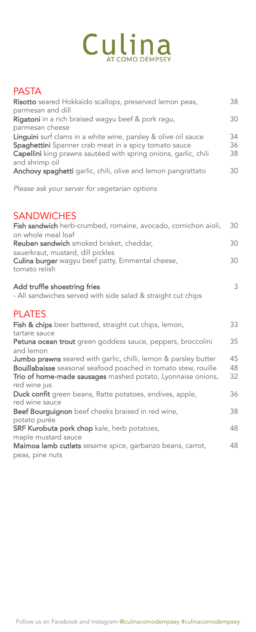### PASTA

| Risotto seared Hokkaido scallops, preserved lemon peas,<br>parmesan and dill                                                                                                               | 38             |
|--------------------------------------------------------------------------------------------------------------------------------------------------------------------------------------------|----------------|
| Rigatoni in a rich braised wagyu beef & pork ragu,<br>parmesan cheese                                                                                                                      | 30             |
| Linguini surf clams in a white wine, parsley & olive oil sauce<br>Spaghettini Spanner crab meat in a spicy tomato sauce<br>Capellini king prawns sautéed with spring onions, garlic, chili | 34<br>36<br>38 |
| and shrimp oil<br>Anchovy spaghetti garlic, chili, olive and lemon pangrattato                                                                                                             | 30             |
| Please ask your server for vegetarian options                                                                                                                                              |                |

### **SANDWICHES**

| Fish sandwich herb-crumbed, romaine, avocado, cornichon aioli,                                                                                                                                                   | 30             |
|------------------------------------------------------------------------------------------------------------------------------------------------------------------------------------------------------------------|----------------|
| on whole meal loaf<br>Reuben sandwich smoked brisket, cheddar,                                                                                                                                                   | 30             |
| sauerkraut, mustard, dill pickles<br>Culina burger wagyu beef patty, Emmental cheese,<br>tomato relish                                                                                                           | 30             |
| Add truffle shoestring fries<br>- All sandwiches served with side salad & straight cut chips                                                                                                                     | 3              |
| <b>PLATES</b>                                                                                                                                                                                                    |                |
| <b>Fish &amp; chips</b> beer battered, straight cut chips, lemon,<br>tartare sauce                                                                                                                               | 33             |
| Petuna ocean trout green goddess sauce, peppers, broccolini<br>and lemon                                                                                                                                         | 35             |
| Jumbo prawns seared with garlic, chilli, lemon & parsley butter<br>Bouillabaisse seasonal seafood poached in tomato stew, rouille<br>Trio of home-made sausages mashed potato, Lyonnaise onions,<br>red wine jus | 45<br>48<br>32 |
| Duck confit green beans, Ratte potatoes, endives, apple,<br>red wine sauce                                                                                                                                       | 36             |
| Beef Bourguignon beef cheeks braised in red wine,<br>potato purée                                                                                                                                                | 38             |
| SRF Kurobuta pork chop kale, herb potatoes,                                                                                                                                                                      | 48             |
| maple mustard sauce<br>Maimoa lamb cutlets sesame spice, garbanzo beans, carrot,                                                                                                                                 | 48             |
| peas, pine nuts                                                                                                                                                                                                  |                |